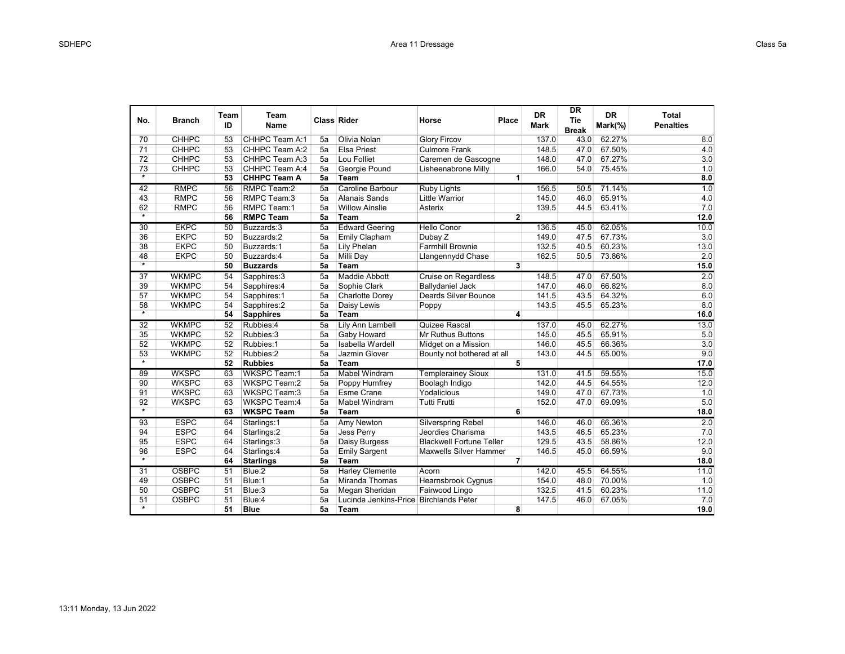| No.             | <b>Branch</b> | Team<br>ID | Team<br><b>Name</b> | <b>Class Rider</b> |                                        | Horse                           | Place        | <b>DR</b><br><b>Mark</b> | <b>DR</b><br>Tie<br><b>Break</b> | <b>DR</b><br>Mark(%) | <b>Total</b><br><b>Penalties</b> |
|-----------------|---------------|------------|---------------------|--------------------|----------------------------------------|---------------------------------|--------------|--------------------------|----------------------------------|----------------------|----------------------------------|
| 70              | <b>CHHPC</b>  | 53         | CHHPC Team A:1      | 5a                 | Olivia Nolan                           | <b>Glory Fircov</b>             |              | 137.0                    | 43.0                             | 62.27%               | 8.0                              |
| 71              | <b>CHHPC</b>  | 53         | CHHPC Team A:2      | 5a                 | <b>Elsa Priest</b>                     | <b>Culmore Frank</b>            |              | 148.5                    | 47.0                             | 67.50%               | 4.0                              |
| 72              | <b>CHHPC</b>  | 53         | CHHPC Team A:3      | 5a                 | Lou Folliet                            | Caremen de Gascogne             |              | 148.0                    | 47.0                             | 67.27%               | 3.0                              |
| 73              | <b>CHHPC</b>  | 53         | CHHPC Team A:4      | 5a                 | Georgie Pound                          | Lisheenabrone Milly             |              | 166.0                    | 54.0                             | 75.45%               | 1.0                              |
| $\star$         |               | 53         | <b>CHHPC Team A</b> | 5a                 | Team                                   |                                 | 1            |                          |                                  |                      | 8.0                              |
| 42              | <b>RMPC</b>   | 56         | RMPC Team:2         | 5a                 | Caroline Barbour                       | <b>Ruby Lights</b>              |              | 156.5                    | 50.5                             | 71.14%               | 1.0                              |
| 43              | <b>RMPC</b>   | 56         | RMPC Team:3         | 5a                 | Alanais Sands                          | <b>Little Warrior</b>           |              | 145.0                    | 46.0                             | 65.91%               | 4.0                              |
| 62              | <b>RMPC</b>   | 56         | RMPC Team:1         | 5a                 | <b>Willow Ainslie</b>                  | Asterix                         |              | 139.5                    | 44.5                             | 63.41%               | 7.0                              |
| $\star$         |               | 56         | <b>RMPC Team</b>    | 5a                 | Team                                   |                                 | $\mathbf{2}$ |                          |                                  |                      | 12.0                             |
| $\overline{30}$ | <b>EKPC</b>   | 50         | Buzzards:3          | 5a                 | <b>Edward Geering</b>                  | <b>Hello Conor</b>              |              | 136.5                    | 45.0                             | 62.05%               | 10.0                             |
| 36              | <b>EKPC</b>   | 50         | Buzzards:2          | 5a                 | Emily Clapham                          | Dubay Z                         |              | 149.0                    | 47.5                             | 67.73%               | 3.0                              |
| 38              | <b>EKPC</b>   | 50         | Buzzards:1          | 5a                 | Lily Phelan                            | Farmhill Brownie                |              | 132.5                    | 40.5                             | 60.23%               | 13.0                             |
| 48              | <b>EKPC</b>   | 50         | Buzzards:4          | 5a                 | Milli Day                              | Llangennydd Chase               |              | 162.5                    | 50.5                             | 73.86%               | 2.0                              |
| $\star$         |               | 50         | <b>Buzzards</b>     | 5a                 | Team                                   |                                 | 3            |                          |                                  |                      | 15.0                             |
| $\overline{37}$ | <b>WKMPC</b>  | 54         | Sapphires:3         | 5a                 | <b>Maddie Abbott</b>                   | <b>Cruise on Regardless</b>     |              | 148.5                    | 47.0                             | 67.50%               | 2.0                              |
| 39              | <b>WKMPC</b>  | 54         | Sapphires:4         | 5a                 | Sophie Clark                           | <b>Ballydaniel Jack</b>         |              | 147.0                    | 46.0                             | 66.82%               | 8.0                              |
| 57              | <b>WKMPC</b>  | 54         | Sapphires:1         | 5a                 | Charlotte Dorey                        | Deards Silver Bounce            |              | 141.5                    | 43.5                             | 64.32%               | 6.0                              |
| 58              | <b>WKMPC</b>  | 54         | Sapphires:2         | 5a                 | Daisy Lewis                            | Poppy                           |              | 143.5                    | 45.5                             | 65.23%               | 8.0                              |
| $\star$         |               | 54         | <b>Sapphires</b>    | 5a                 | Team                                   |                                 | 4            |                          |                                  |                      | 16.0                             |
| $\overline{32}$ | <b>WKMPC</b>  | 52         | Rubbies:4           | $\overline{5a}$    | Lily Ann Lambell                       | Quizee Rascal                   |              | 137.0                    | 45.0                             | 62.27%               | 13.0                             |
| 35              | <b>WKMPC</b>  | 52         | Rubbies:3           | 5a                 | Gaby Howard                            | <b>Mr Ruthus Buttons</b>        |              | 145.0                    | 45.5                             | 65.91%               | 5.0                              |
| 52              | <b>WKMPC</b>  | 52         | Rubbies:1           | 5a                 | Isabella Wardell                       | Midget on a Mission             |              | 146.0                    | 45.5                             | 66.36%               | 3.0                              |
| 53              | <b>WKMPC</b>  | 52         | Rubbies:2           | 5a                 | Jazmin Glover                          | Bounty not bothered at all      |              | 143.0                    | 44.5                             | 65.00%               | 9.0                              |
| $\star$         |               | 52         | <b>Rubbies</b>      | 5a                 | Team                                   |                                 | 5            |                          |                                  |                      | 17.0                             |
| 89              | <b>WKSPC</b>  | 63         | <b>WKSPC Team:1</b> | 5a                 | <b>Mabel Windram</b>                   | <b>Templerainey Sioux</b>       |              | 131.0                    | 41.5                             | 59.55%               | 15.0                             |
| 90              | <b>WKSPC</b>  | 63         | <b>WKSPC Team:2</b> | 5a                 | Poppy Humfrey                          | Boolagh Indigo                  |              | 142.0                    | 44.5                             | 64.55%               | 12.0                             |
| 91              | <b>WKSPC</b>  | 63         | <b>WKSPC Team:3</b> | 5a                 | <b>Esme Crane</b>                      | Yodalicious                     |              | 149.0                    | 47.0                             | 67.73%               | 1.0                              |
| 92              | <b>WKSPC</b>  | 63         | <b>WKSPC Team:4</b> | 5a                 | <b>Mabel Windram</b>                   | <b>Tutti Frutti</b>             |              | 152.0                    | 47.0                             | 69.09%               | 5.0                              |
| $\star$         |               | 63         | <b>WKSPC Team</b>   | 5a                 | Team                                   |                                 | 6            |                          |                                  |                      | 18.0                             |
| 93              | <b>ESPC</b>   | 64         | Starlings:1         | $\overline{5a}$    | Amy Newton                             | <b>Silverspring Rebel</b>       |              | 146.0                    | 46.0                             | 66.36%               | 2.0                              |
| 94              | <b>ESPC</b>   | 64         | Starlings:2         | 5a                 | <b>Jess Perry</b>                      | Jeordies Charisma               |              | 143.5                    | 46.5                             | 65.23%               | 7.0                              |
| 95              | <b>ESPC</b>   | 64         | Starlings:3         | 5a                 | Daisy Burgess                          | <b>Blackwell Fortune Teller</b> |              | 129.5                    | 43.5                             | 58.86%               | 12.0                             |
| 96              | <b>ESPC</b>   | 64         | Starlings:4         | 5a                 | <b>Emily Sargent</b>                   | <b>Maxwells Silver Hammer</b>   |              | 146.5                    | 45.0                             | 66.59%               | 9.0                              |
| $\star$         |               | 64         | <b>Starlings</b>    | 5a                 | Team                                   |                                 | 7            |                          |                                  |                      | 18.0                             |
| 31              | <b>OSBPC</b>  | 51         | Blue:2              | 5a                 | <b>Harley Clemente</b>                 | Acorn                           |              | 142.0                    | 45.5                             | 64.55%               | 11.0                             |
| 49              | <b>OSBPC</b>  | 51         | Blue:1              | 5a                 | Miranda Thomas                         | Hearnsbrook Cygnus              |              | 154.0                    | 48.0                             | 70.00%               | 1.0                              |
| 50              | <b>OSBPC</b>  | 51         | Blue:3              | 5a                 | Megan Sheridan                         | Fairwood Lingo                  |              | 132.5                    | 41.5                             | 60.23%               | 11.0                             |
| 51              | <b>OSBPC</b>  | 51         | Blue:4              | 5a                 | Lucinda Jenkins-Price Birchlands Peter |                                 |              | 147.5                    | 46.0                             | 67.05%               | 7.0                              |
| $\star$         |               | 51         | <b>Blue</b>         | 5a                 | Team                                   |                                 | 8            |                          |                                  |                      | 19.0                             |